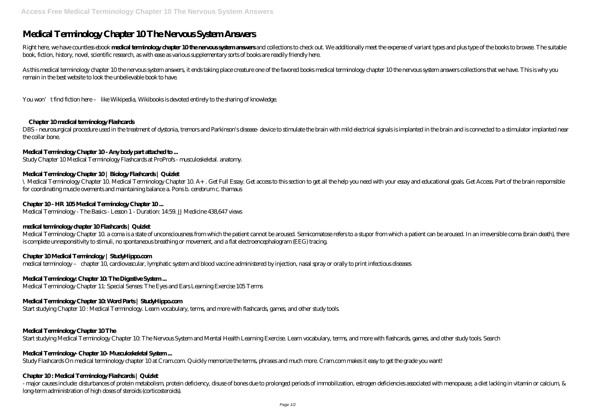# **Medical Terminology Chapter 10 The Nervous System Answers**

Right here, we have countless ebook medical termindogy drapter 10the nervous system answers and collections to check out. We additionally meet the expense of variant types and plus type of the books to browse. The suitable book, fiction, history, novel, scientific research, as with ease as various supplementary sorts of books are readily friendly here.

DBS - neurosurgical procedure used in the treatment of dystonia, tremors and Parkinson's disease- device to stimulate the brain with mild electrical signals is implanted in the brain and is connected to a stimulator implan the collar bone.

As this medical terminology chapter 10 the nervous system answers, it ends taking place creature one of the favored books medical terminology chapter 10 the nervous system answers collections that we have. This is why you remain in the best website to look the unbelievable book to have.

You won't find fiction here – like Wikipedia, Wikibooks is devoted entirely to the sharing of knowledge.

# **Chapter 10 medical terminology Flashcards**

# **Medical Terminology Chapter 10 - Any body part attached to ...**

Study Chapter 10 Medical Terminology Flashcards at ProProfs - musculoskeletal. anatomy.

# **Medical Terminology Chapter 10 | Biology Flashcards | Quizlet**

\ Medical Terminology Chapter 10. Medical Terminology Chapter 10. A+ . Get Full Essay. Get access to this section to get all the help you need with your essay and educational goals. Get Access. Part of the brain respomsible for coordinating muscle ovements and maintaining balance a. Pons b. cerebrum c. thamaus

# **Chapter 10 - HR 105 Medical Terminology Chapter 10 ...**

Medical Terminology - The Basics - Lesson 1 - Duration: 14:59. JJ Medicine 438,647 views

- major causes include: disturbances of protein metabolism, protein deficiency, disuse of bones due to prolonged periods of immobilization, estrogen deficiencies associated with menopause, a diet lacking in vitamin or calc long-term administration of high doses of steroids (corticosteroids).

# **medical terminology chapter 10 Flashcards | Quizlet**

Medical Terminology Chapter 10. a coma is a state of unconsciousness from which the patient cannot be aroused. Semicomatose refers to a stupor from which a patient can be aroused. In an irreversible coma (brain death), there is complete unresponsitivity to stimuli, no spontaneous breathing or movement, and a flat electroencephalogram (EEG) tracing.

# **Chapter 10 Medical Terminology | StudyHippo.com**

medical terminology – chapter 10, cardiovascular, lymphatic system and blood vaccine administered by injection, nasal spray or orally to print infectious diseases

# Medical Terminology: Chapter 10 The Digestive System...

Medical Terminology Chapter 11: Special Senses: The Eyes and Ears Learning Exercise 105 Terms

# **Medical Terminology Chapter 10: Word Parts | StudyHippo.com**

Start studying Chapter 10 : Medical Terminology. Learn vocabulary, terms, and more with flashcards, games, and other study tools.

# **Medical Terminology Chapter 10 The**

Start studying Medical Terminology Chapter 10: The Nervous System and Mental Health Learning Exercise. Learn vocabulary, terms, and more with flashcards, games, and other study tools. Search

#### Medical Terminology- Chapter 10 Musculoskeletal System...

Study Flashcards On medical terminology chapter 10 at Cram.com. Quickly memorize the terms, phrases and much more. Cram.com makes it easy to get the grade you want!

#### **Chapter 10 : Medical Terminology Flashcards | Quizlet**